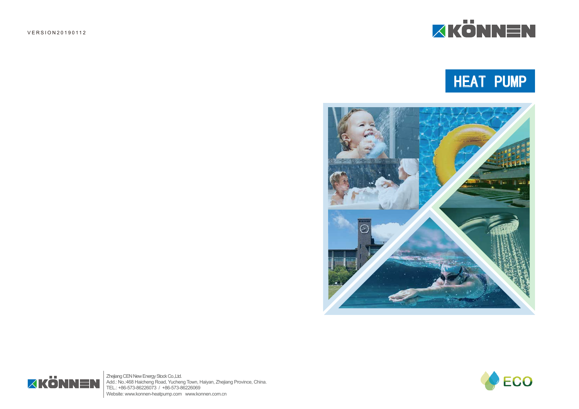# HEAT PUMP



Zhejiang CEN New Energy Stock Co.,Ltd. Add.: No.:468 Haicheng Road, Yucheng Town, Haiyan, Zhejiang Province, China. TEL.: +86-573-86226073 / +86-573-86226069 Website: www.konnen-heatpump.com www.konnen.com.cn

VERSION20190112





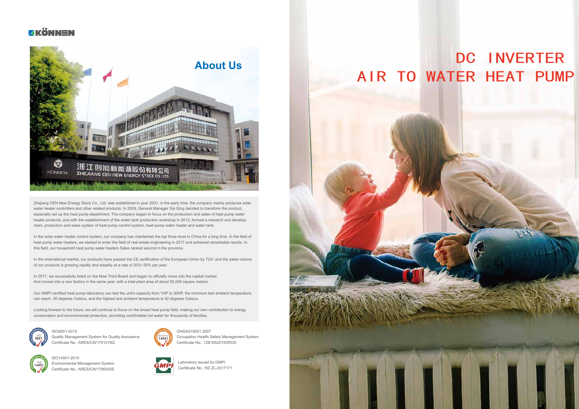Zhejiang CEN New Energy Stock Co., Ltd. was established in year 2001, in the early time, the company mainly produces solar water heater controllers and other related products. In 2009, General Manager Xia Qing decided to transform the product, especially set up the heat pump department. The company began to focus on the production and sales of heat pump water heater products, and with the establishment of the water tank production workshop in 2013, formed a research and development, production and sales system of heat pump control system, heat pump water heater and water tank.

In the solar water heater control system, our company has maintained the top three level in China for a long time. In the field of heat pump water heaters, we started to enter the field of real estate engineering in 2017 and achieved remarkable results. In this field, our household heat pump water heaters Sales ranked second in the province.

In 2017, we successfully listed on the New Third Board and began to officially move into the capital market. And moved into a new factory in the same year, with a total plant area of about 50,000 square meters.

In the international market, our products have passed the CE certification of the European Union by TUV, and the sales volume of our products is growing rapidly and steadily at a rate of 20%~30% per year.

Our GMPI-certified heat pump laboratory can test the unit's capacity from 1HP to 30HP, the minimum test ambient temperature can reach -30 degrees Celsius, and the highest test ambient temperature is 52 degrees Celsius.

Looking forward to the future, we will continue to focus on the broad heat pump field, making our own contribution to energy conservation and environmental protection, providing comfortable hot water for thousands of families.



## DC INVERTER AIR TO WATER HEAT PUMP

ISO9001-2015 Quality Management System for Quality Assurance Certificate No.: ARES/CN/1701019Q



ISO14001-2015 Environmental Management System Certificate No.: ARES/CN/1706042E



OHSAS18001:2007 Occupation Health Safety Management System Certificate No.: 12816S20193ROS



Laboratory issued by GMPI Certificate No.: RZ-ZL-2017171



#### *<u>XKÖNNEN</u>*

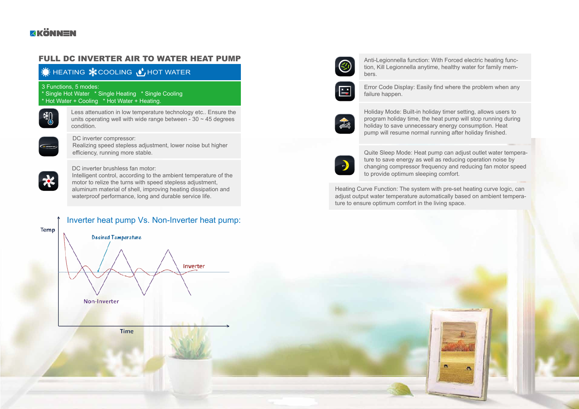### *<u>XKÖNNEN</u>*

#### FULL DC INVERTER AIR TO WATER HEAT PUMP

#### $\bullet$  HEATING  $\bullet$  COOLING  $\bullet$  HOT WATER

3 Functions, 5 modes:

\* Single Hot Water \* Single Heating \* Single Cooling \* Hot Water + Cooling \* Hot Water + Heating.



Less attenuation in low temperature technology etc.. Ensure the units operating well with wide range between -  $30 \sim 45$  degrees condition.



DC inverter compressor: Realizing speed stepless adjustment, lower noise but higher efficiency, running more stable.



DC inverter brushless fan motor:

Intelligent control, according to the ambient temperature of the motor to relize the turns with speed stepless adjustment, aluminum material of shell, improving heating dissipation and waterproof performance, long and durable service life.

Anti-Legionnella function: With Forced electric heating function, Kill Legionnella anytime, healthy water for family members.



Error Code Display: Easily find where the problem when any failure happen.



Holiday Mode: Built-in holiday timer setting, allows users to program holiday time, the heat pump will stop running during holiday to save unnecessary energy consumption. Heat pump will resume normal running after holiday finished.



Quite Sleep Mode: Heat pump can adjust outlet water temperature to save energy as well as reducing operation noise by changing compressor frequency and reducing fan motor speed to provide optimum sleeping comfort.

Heating Curve Function: The system with pre-set heating curve logic, can adjust output water temperature automatically based on ambient temperature to ensure optimum comfort in the living space.